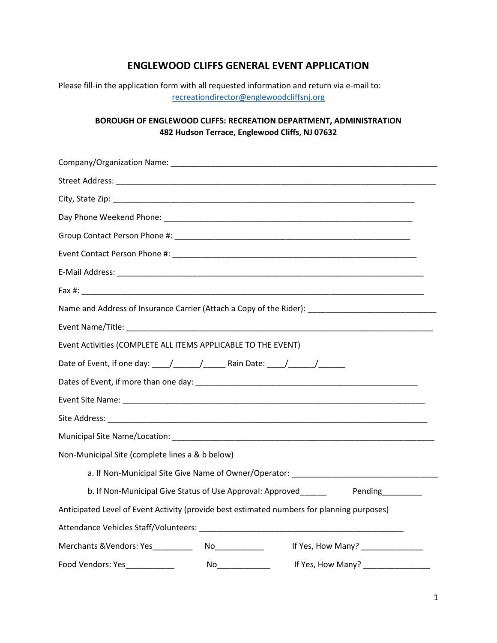## **ENGLEWOOD CLIFFS GENERAL EVENT APPLICATION**

Please fill-in the application form with all requested information and return via e-mail to: [recreationdirector@englewoodcliffsnj.org](mailto:recreationdirector@englewoodcliffsnj.org)

## **BOROUGH OF ENGLEWOOD CLIFFS: RECREATION DEPARTMENT, ADMINISTRATION 482 Hudson Terrace, Englewood Cliffs, NJ 07632**

| Name and Address of Insurance Carrier (Attach a Copy of the Rider): ________________________________ |  |  |
|------------------------------------------------------------------------------------------------------|--|--|
|                                                                                                      |  |  |
| Event Activities (COMPLETE ALL ITEMS APPLICABLE TO THE EVENT)                                        |  |  |
| Date of Event, if one day: \budget(\budgetarrow_\infty___________________________                    |  |  |
|                                                                                                      |  |  |
|                                                                                                      |  |  |
|                                                                                                      |  |  |
|                                                                                                      |  |  |
| Non-Municipal Site (complete lines a & b below)                                                      |  |  |
|                                                                                                      |  |  |
| b. If Non-Municipal Give Status of Use Approval: Approved________ Pending_______                     |  |  |
| Anticipated Level of Event Activity (provide best estimated numbers for planning purposes)           |  |  |
|                                                                                                      |  |  |
| Merchants & Vendors: Yes_________<br>If Yes, How Many? ______________<br>No_____________             |  |  |
| Food Vendors: Yes____________                                                                        |  |  |